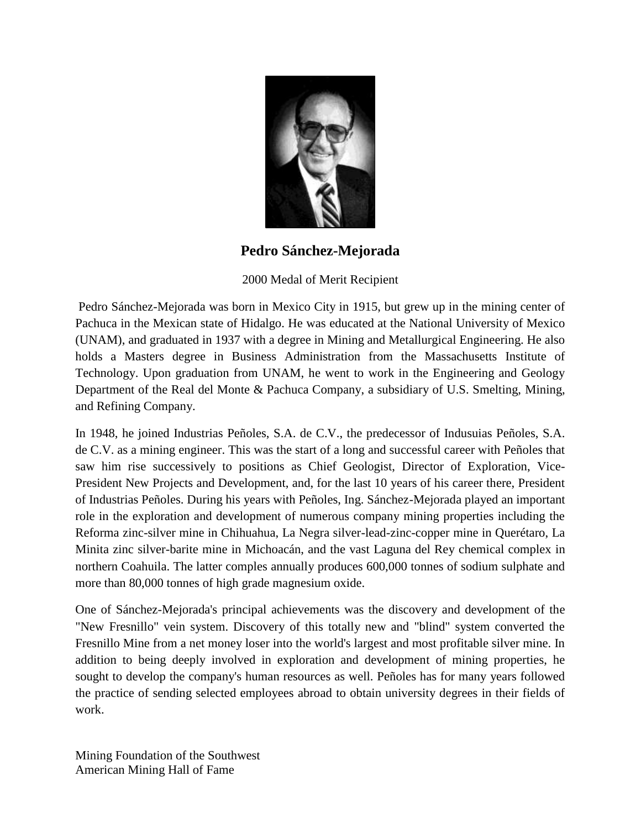

**Pedro Sánchez-Mejorada**

## 2000 Medal of Merit Recipient

Pedro Sánchez-Mejorada was born in Mexico City in 1915, but grew up in the mining center of Pachuca in the Mexican state of Hidalgo. He was educated at the National University of Mexico (UNAM), and graduated in 1937 with a degree in Mining and Metallurgical Engineering. He also holds a Masters degree in Business Administration from the Massachusetts Institute of Technology. Upon graduation from UNAM, he went to work in the Engineering and Geology Department of the Real del Monte & Pachuca Company, a subsidiary of U.S. Smelting, Mining, and Refining Company.

In 1948, he joined Industrias Peñoles, S.A. de C.V., the predecessor of Indusuias Peñoles, S.A. de C.V. as a mining engineer. This was the start of a long and successful career with Peñoles that saw him rise successively to positions as Chief Geologist, Director of Exploration, Vice-President New Projects and Development, and, for the last 10 years of his career there, President of Industrias Peñoles. During his years with Peñoles, Ing. Sánchez-Mejorada played an important role in the exploration and development of numerous company mining properties including the Reforma zinc-silver mine in Chihuahua, La Negra silver-lead-zinc-copper mine in Querétaro, La Minita zinc silver-barite mine in Michoacán, and the vast Laguna del Rey chemical complex in northern Coahuila. The latter comples annually produces 600,000 tonnes of sodium sulphate and more than 80,000 tonnes of high grade magnesium oxide.

One of Sánchez-Mejorada's principal achievements was the discovery and development of the "New Fresnillo" vein system. Discovery of this totally new and "blind" system converted the Fresnillo Mine from a net money loser into the world's largest and most profitable silver mine. In addition to being deeply involved in exploration and development of mining properties, he sought to develop the company's human resources as well. Peñoles has for many years followed the practice of sending selected employees abroad to obtain university degrees in their fields of work.

Mining Foundation of the Southwest American Mining Hall of Fame